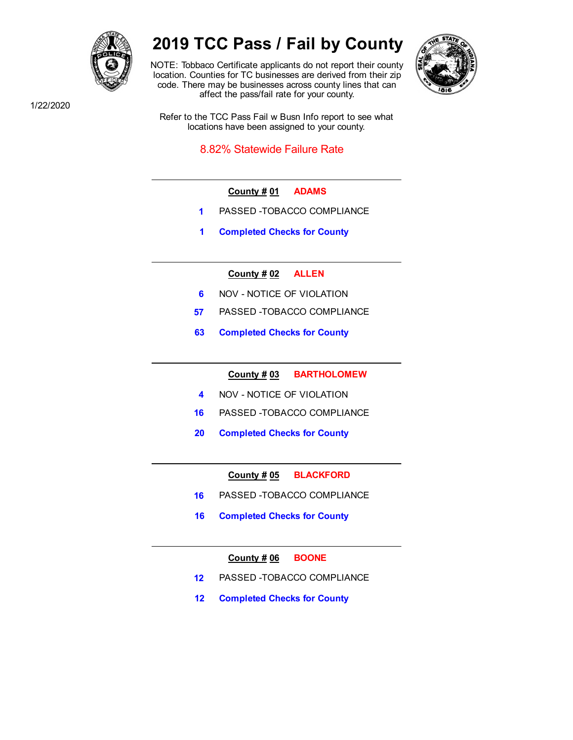

# **2019 TCC Pass / Fail by County**

NOTE: Tobbaco Certificate applicants do not report their county location. Counties for TC businesses are derived from their zip code. There may be businesses across county lines that can affect the pass/fail rate for your county.



1/22/2020

Refer to the TCC Pass Fail w Busn Info report to see what locations have been assigned to your county.

8.82% Statewide Failure Rate

- **County # 01 ADAMS**
- **1** PASSED -TOBACCO COMPLIANCE
- **1 Completed Checks for County**
	- **County # 02 ALLEN**
- **6 NOV NOTICE OF VIOLATION**
- **57** PASSED -TOBACCO COMPLIANCE
- **63 Completed Checks for County**

**County # 03 BARTHOLOMEW**

- **4** NOV NOTICE OF VIOLATION
- **16** PASSED -TOBACCO COMPLIANCE
- **20 Completed Checks for County**

**County # 05 BLACKFORD**

- **16** PASSED -TOBACCO COMPLIANCE
- **16 Completed Checks for County**

**County # 06 BOONE**

- **12** PASSED -TOBACCO COMPLIANCE
- **12 Completed Checks for County**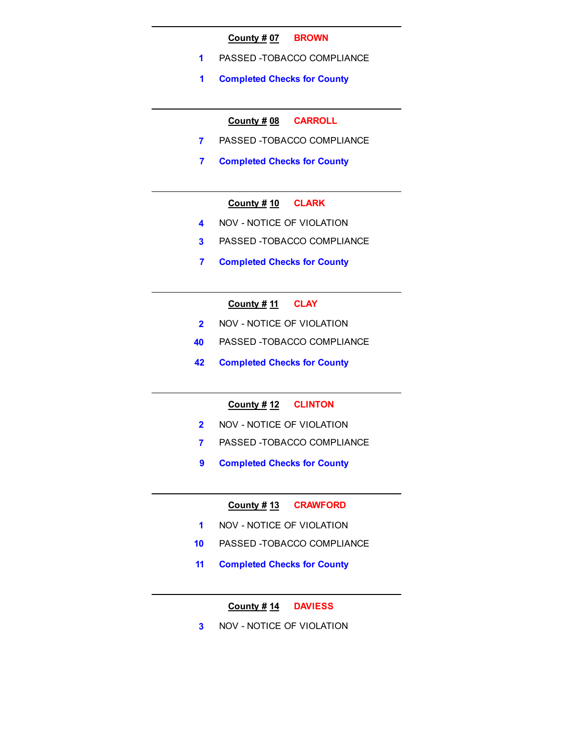#### **County # 07 BROWN**

- **1** PASSED -TOBACCO COMPLIANCE
- **1 Completed Checks for County**

# **County # 08 CARROLL**

- **7** PASSED -TOBACCO COMPLIANCE
- **7 Completed Checks for County**

# **County # 10 CLARK**

- **4** NOV NOTICE OF VIOLATION
- **3** PASSED -TOBACCO COMPLIANCE
- **7 Completed Checks for County**

# **County # 11 CLAY**

- **2** NOV NOTICE OF VIOLATION
- **40** PASSED -TOBACCO COMPLIANCE
- **42 Completed Checks for County**

#### **County # 12 CLINTON**

- **2** NOV NOTICE OF VIOLATION
- **7** PASSED -TOBACCO COMPLIANCE
- **9 Completed Checks for County**

#### **County # 13 CRAWFORD**

- **1** NOV NOTICE OF VIOLATION
- **10** PASSED -TOBACCO COMPLIANCE
- **11 Completed Checks for County**

# **County # 14 DAVIESS**

**3** NOV - NOTICE OF VIOLATION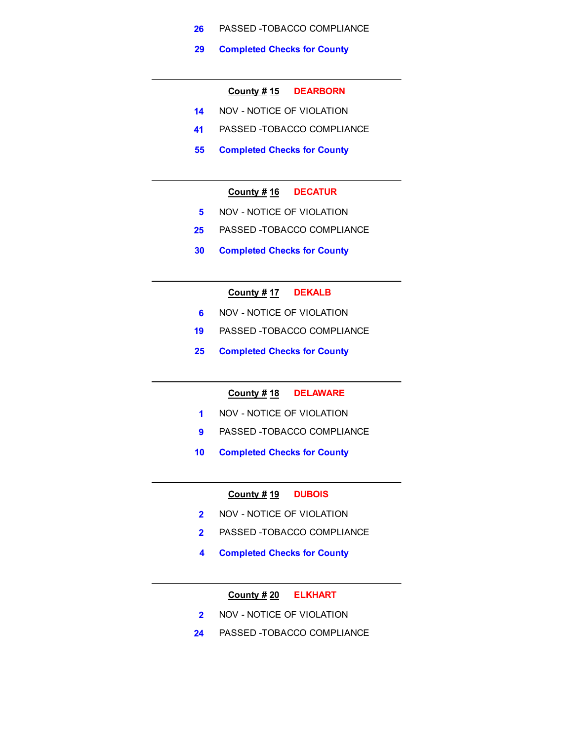- **26** PASSED -TOBACCO COMPLIANCE
- **29 Completed Checks for County**

#### **County # 15 DEARBORN**

- **14** NOV NOTICE OF VIOLATION
- **41** PASSED -TOBACCO COMPLIANCE
- **55 Completed Checks for County**

#### **County # 16 DECATUR**

- **5** NOV NOTICE OF VIOLATION
- **25** PASSED -TOBACCO COMPLIANCE
- **30 Completed Checks for County**

# **County # 17 DEKALB**

- **6 NOV NOTICE OF VIOLATION**
- **19** PASSED -TOBACCO COMPLIANCE
- **25 Completed Checks for County**

### **County # 18 DELAWARE**

- **1** NOV NOTICE OF VIOLATION
- **9** PASSED -TOBACCO COMPLIANCE
- **10 Completed Checks for County**

#### **County # 19 DUBOIS**

- **2** NOV NOTICE OF VIOLATION
- **2** PASSED -TOBACCO COMPLIANCE
- **4 Completed Checks for County**

#### **County # 20 ELKHART**

- **2** NOV NOTICE OF VIOLATION
- **24** PASSED -TOBACCO COMPLIANCE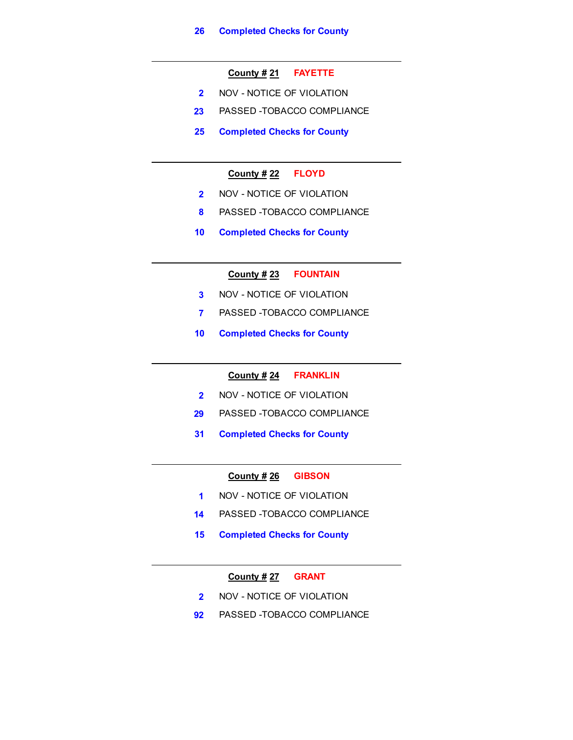# **County # 21 FAYETTE**

- **2** NOV NOTICE OF VIOLATION
- **23** PASSED -TOBACCO COMPLIANCE
- **25 Completed Checks for County**

## **County # 22 FLOYD**

- **2** NOV NOTICE OF VIOLATION
- **8** PASSED -TOBACCO COMPLIANCE
- **10 Completed Checks for County**

## **County # 23 FOUNTAIN**

- **3** NOV NOTICE OF VIOLATION
- **7** PASSED -TOBACCO COMPLIANCE
- **10 Completed Checks for County**

#### **County # 24 FRANKLIN**

- **2** NOV NOTICE OF VIOLATION
- **29** PASSED -TOBACCO COMPLIANCE
- **31 Completed Checks for County**

#### **County # 26 GIBSON**

- **1** NOV NOTICE OF VIOLATION
- **14** PASSED -TOBACCO COMPLIANCE
- **15 Completed Checks for County**

# **County # 27 GRANT**

- **2** NOV NOTICE OF VIOLATION
- **92** PASSED -TOBACCO COMPLIANCE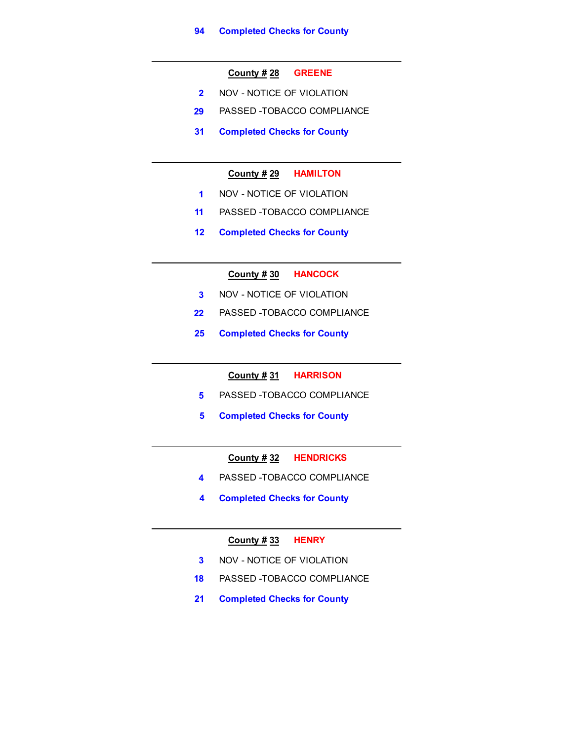#### **County # 28 GREENE**

- **2** NOV NOTICE OF VIOLATION
- **29** PASSED -TOBACCO COMPLIANCE
- **31 Completed Checks for County**

## **County # 29 HAMILTON**

- **1** NOV NOTICE OF VIOLATION
- **11** PASSED -TOBACCO COMPLIANCE
- **12 Completed Checks for County**

**County # 30 HANCOCK**

- **3** NOV NOTICE OF VIOLATION
- **22** PASSED -TOBACCO COMPLIANCE
- **25 Completed Checks for County**

**County # 31 HARRISON**

- **5** PASSED -TOBACCO COMPLIANCE
- **5 Completed Checks for County**

# **County # 32 HENDRICKS**

- **4** PASSED -TOBACCO COMPLIANCE
- **4 Completed Checks for County**

# **County # 33 HENRY**

- **3** NOV NOTICE OF VIOLATION
- **18** PASSED -TOBACCO COMPLIANCE
- **21 Completed Checks for County**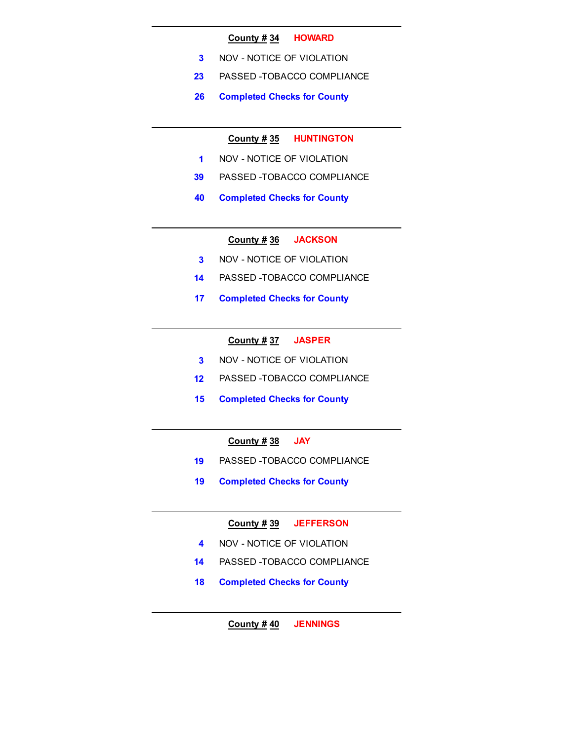#### **County # 34 HOWARD**

- **3** NOV NOTICE OF VIOLATION
- **23** PASSED -TOBACCO COMPLIANCE
- **26 Completed Checks for County**

# **County # 35 HUNTINGTON**

- **1** NOV NOTICE OF VIOLATION
- **39** PASSED -TOBACCO COMPLIANCE
- **40 Completed Checks for County**

**County # 36 JACKSON**

- **3** NOV NOTICE OF VIOLATION
- **14** PASSED -TOBACCO COMPLIANCE
- **17 Completed Checks for County**

#### **County # 37 JASPER**

- **3** NOV NOTICE OF VIOLATION
- **12** PASSED -TOBACCO COMPLIANCE
- **15 Completed Checks for County**

# **County # 38 JAY**

- **19** PASSED -TOBACCO COMPLIANCE
- **19 Completed Checks for County**

# **County # 39 JEFFERSON**

- **4** NOV NOTICE OF VIOLATION
- **14** PASSED -TOBACCO COMPLIANCE
- **18 Completed Checks for County**

**County # 40 JENNINGS**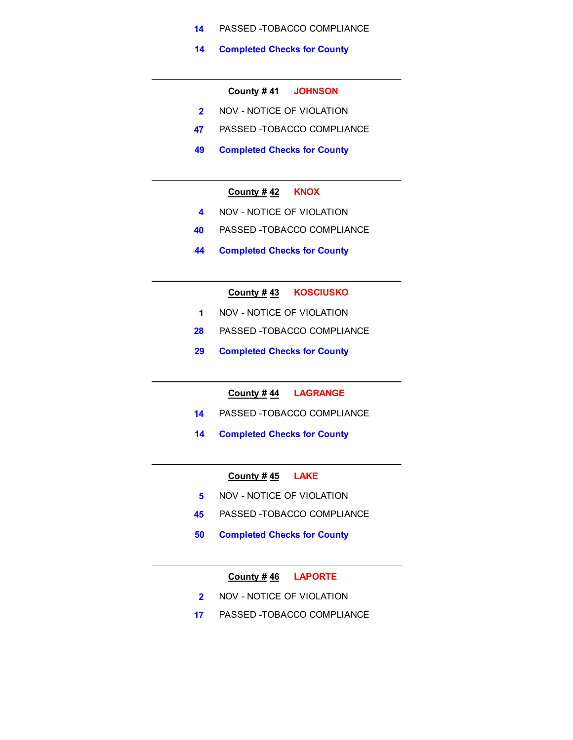- **14** PASSED -TOBACCO COMPLIANCE
- **14 Completed Checks for County**

#### **County # 41 JOHNSON**

- **2** NOV NOTICE OF VIOLATION
- **47** PASSED -TOBACCO COMPLIANCE
- **49 Completed Checks for County**

## **County # 42 KNOX**

- **4** NOV NOTICE OF VIOLATION
- **40** PASSED -TOBACCO COMPLIANCE
- **44 Completed Checks for County**

# **County # 43 KOSCIUSKO**

- **1** NOV NOTICE OF VIOLATION
- **28** PASSED -TOBACCO COMPLIANCE
- **29 Completed Checks for County**

**County # 44 LAGRANGE**

- **14** PASSED -TOBACCO COMPLIANCE
- **14 Completed Checks for County**

## **County # 45 LAKE**

- **5 NOV NOTICE OF VIOLATION**
- **45** PASSED -TOBACCO COMPLIANCE
- **50 Completed Checks for County**

# **County # 46 LAPORTE**

- **2** NOV NOTICE OF VIOLATION
- **17** PASSED -TOBACCO COMPLIANCE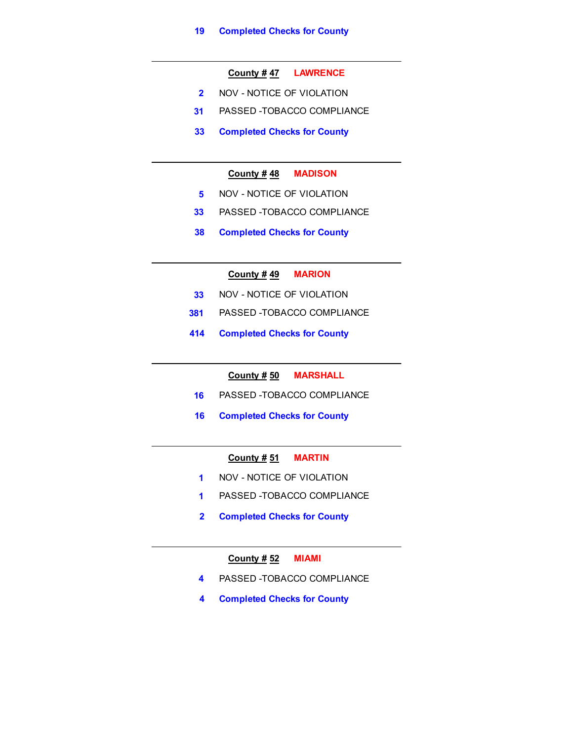# **County # 47 LAWRENCE**

- **2** NOV NOTICE OF VIOLATION
- **31** PASSED -TOBACCO COMPLIANCE
- **33 Completed Checks for County**

## **County # 48 MADISON**

- **5** NOV NOTICE OF VIOLATION
- **33** PASSED -TOBACCO COMPLIANCE
- **38 Completed Checks for County**

#### **County # 49 MARION**

- **33** NOV NOTICE OF VIOLATION
- **381** PASSED -TOBACCO COMPLIANCE
- **414 Completed Checks for County**

#### **County # 50 MARSHALL**

- **16** PASSED -TOBACCO COMPLIANCE
- **16 Completed Checks for County**

# **County # 51 MARTIN**

- **1** NOV NOTICE OF VIOLATION
- **1** PASSED -TOBACCO COMPLIANCE
- **2 Completed Checks for County**

#### **County # 52 MIAMI**

- **4** PASSED -TOBACCO COMPLIANCE
- **4 Completed Checks for County**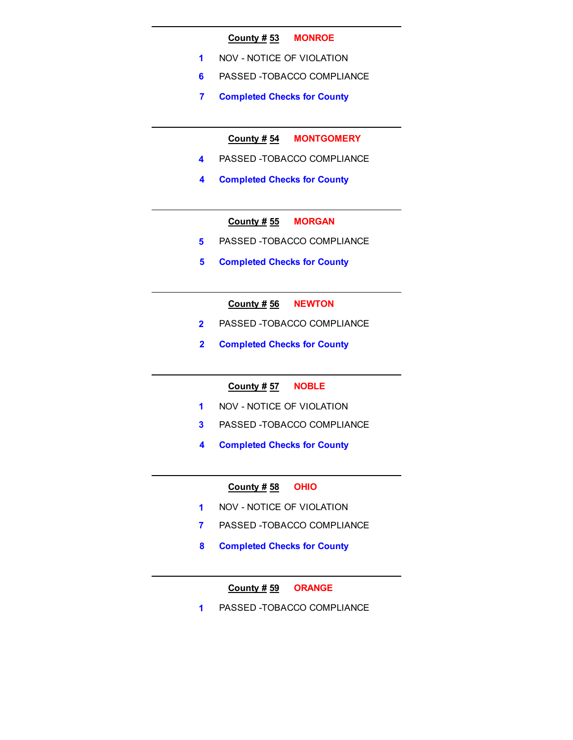#### **County # 53 MONROE**

- **1** NOV NOTICE OF VIOLATION
- **6** PASSED -TOBACCO COMPLIANCE
- **7 Completed Checks for County**

**County # 54 MONTGOMERY**

- **4** PASSED -TOBACCO COMPLIANCE
- **4 Completed Checks for County**

**County # 55 MORGAN**

- **5** PASSED -TOBACCO COMPLIANCE
- **5 Completed Checks for County**

# **County # 56 NEWTON**

- **2** PASSED -TOBACCO COMPLIANCE
- **2 Completed Checks for County**

## **County # 57 NOBLE**

- **1** NOV NOTICE OF VIOLATION
- **3** PASSED -TOBACCO COMPLIANCE
- **4 Completed Checks for County**

## **County # 58 OHIO**

- **1** NOV NOTICE OF VIOLATION
- **7** PASSED -TOBACCO COMPLIANCE
- **8 Completed Checks for County**

# **County # 59 ORANGE**

**1** PASSED -TOBACCO COMPLIANCE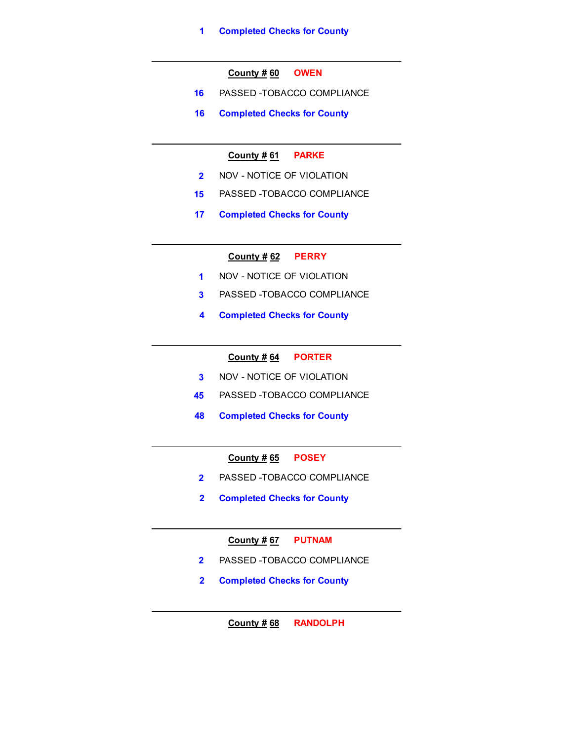# **County # 60 OWEN**

- **16** PASSED -TOBACCO COMPLIANCE
- **16 Completed Checks for County**

# **County # 61 PARKE**

- **2** NOV NOTICE OF VIOLATION
- **15** PASSED -TOBACCO COMPLIANCE
- **17 Completed Checks for County**

# **County # 62 PERRY**

- **1** NOV NOTICE OF VIOLATION
- **3** PASSED -TOBACCO COMPLIANCE
- **4 Completed Checks for County**

# **County # 64 PORTER**

- **3** NOV NOTICE OF VIOLATION
- **45** PASSED -TOBACCO COMPLIANCE
- **48 Completed Checks for County**

# **County # 65 POSEY**

- **2** PASSED -TOBACCO COMPLIANCE
- **2 Completed Checks for County**

# **County # 67 PUTNAM**

- **2** PASSED -TOBACCO COMPLIANCE
- **2 Completed Checks for County**

**County # 68 RANDOLPH**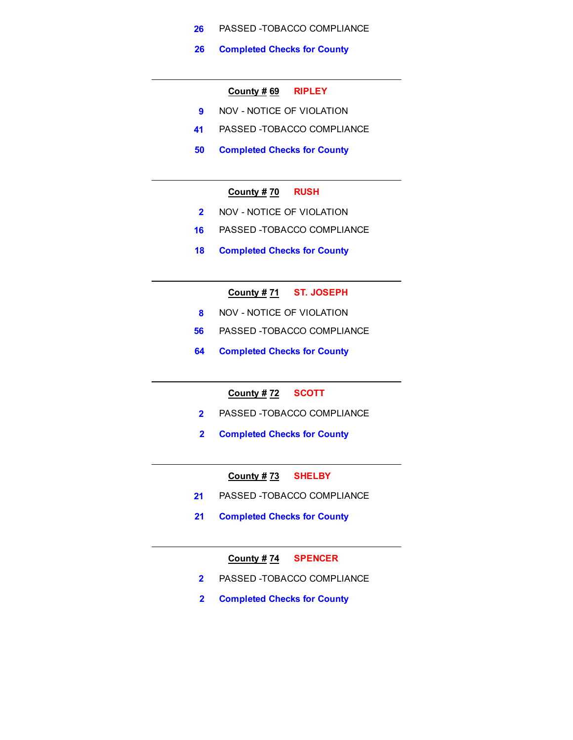- **26** PASSED -TOBACCO COMPLIANCE
- **26 Completed Checks for County**

#### **County # 69 RIPLEY**

- **9** NOV NOTICE OF VIOLATION
- **41** PASSED -TOBACCO COMPLIANCE
- **50 Completed Checks for County**

## **County # 70 RUSH**

- **2** NOV NOTICE OF VIOLATION
- **16** PASSED -TOBACCO COMPLIANCE
- **18 Completed Checks for County**

# **County # 71 ST. JOSEPH**

- **8** NOV NOTICE OF VIOLATION
- **56** PASSED -TOBACCO COMPLIANCE
- **64 Completed Checks for County**

# **County # 72 SCOTT**

- **2** PASSED -TOBACCO COMPLIANCE
- **2 Completed Checks for County**

#### **County # 73 SHELBY**

- **21** PASSED -TOBACCO COMPLIANCE
- **21 Completed Checks for County**

#### **County # 74 SPENCER**

- **2** PASSED -TOBACCO COMPLIANCE
- **2 Completed Checks for County**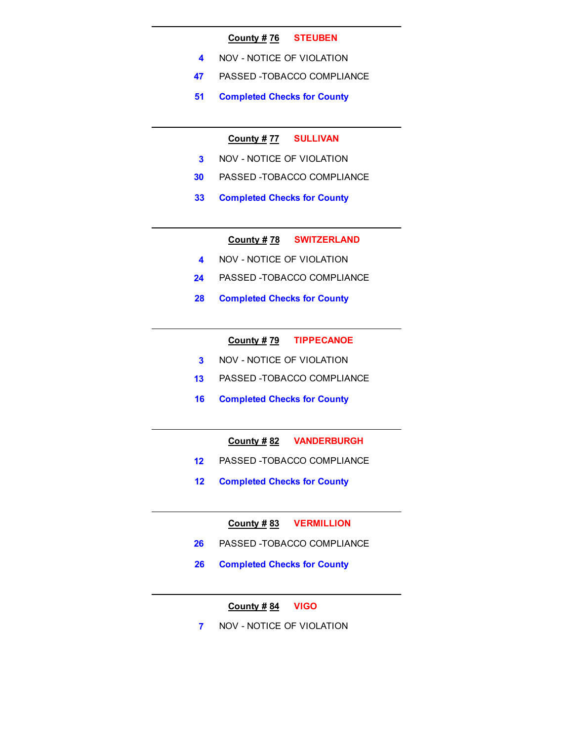#### **County # 76 STEUBEN**

- **4** NOV NOTICE OF VIOLATION
- **47** PASSED -TOBACCO COMPLIANCE
- **51 Completed Checks for County**

# **County # 77 SULLIVAN**

- **3** NOV NOTICE OF VIOLATION
- **30** PASSED -TOBACCO COMPLIANCE
- **33 Completed Checks for County**

**County # 78 SWITZERLAND**

- **4** NOV NOTICE OF VIOLATION
- **24** PASSED -TOBACCO COMPLIANCE
- **28 Completed Checks for County**

#### **County # 79 TIPPECANOE**

- **3** NOV NOTICE OF VIOLATION
- **13** PASSED -TOBACCO COMPLIANCE
- **16 Completed Checks for County**

## **County # 82 VANDERBURGH**

- **12** PASSED -TOBACCO COMPLIANCE
- **12 Completed Checks for County**

# **County # 83 VERMILLION**

- **26** PASSED -TOBACCO COMPLIANCE
- **26 Completed Checks for County**

# **County # 84 VIGO**

**7** NOV - NOTICE OF VIOLATION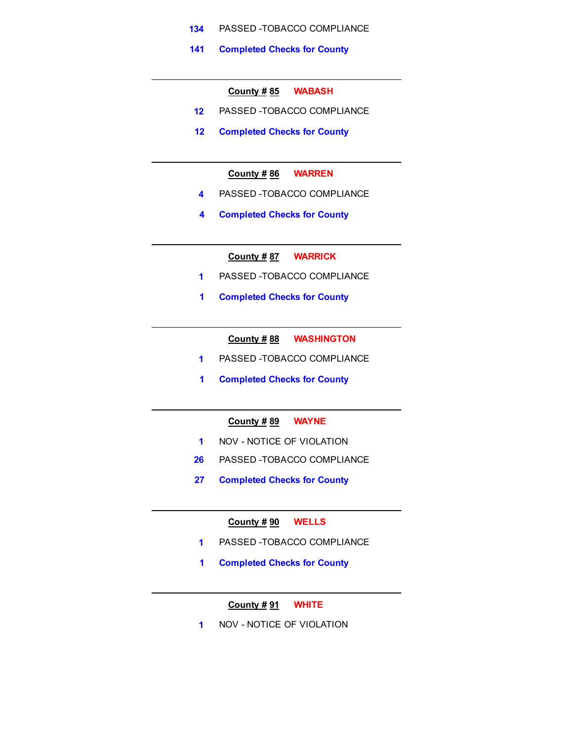- **134** PASSED -TOBACCO COMPLIANCE
- **141 Completed Checks for County**

#### **County # 85 WABASH**

- **12** PASSED -TOBACCO COMPLIANCE
- **12 Completed Checks for County**

# **County # 86 WARREN**

- **4** PASSED -TOBACCO COMPLIANCE
- **4 Completed Checks for County**

**County # 87 WARRICK**

- **1** PASSED -TOBACCO COMPLIANCE
- **1 Completed Checks for County**

**County # 88 WASHINGTON**

- **1** PASSED -TOBACCO COMPLIANCE
- **1 Completed Checks for County**

# **County # 89 WAYNE**

- **1** NOV NOTICE OF VIOLATION
- **26** PASSED -TOBACCO COMPLIANCE
- **27 Completed Checks for County**

#### **County # 90 WELLS**

- **1** PASSED -TOBACCO COMPLIANCE
- **1 Completed Checks for County**

## **County # 91 WHITE**

**1** NOV - NOTICE OF VIOLATION